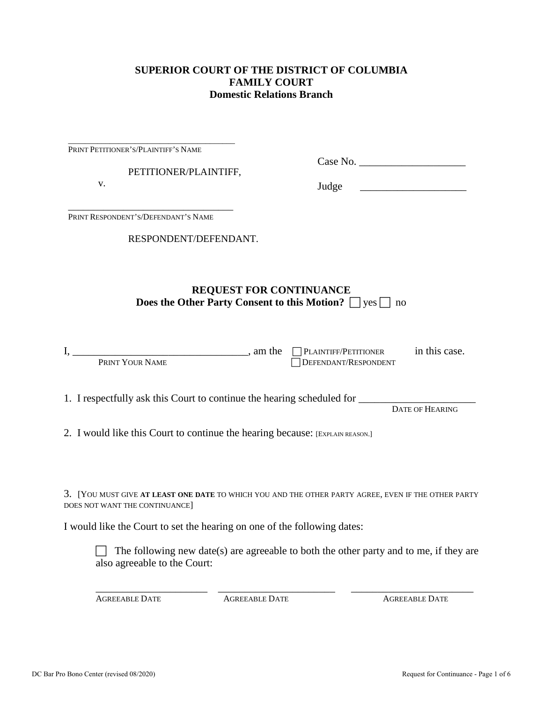### **SUPERIOR COURT OF THE DISTRICT OF COLUMBIA FAMILY COURT Domestic Relations Branch**

| PRINT PETITIONER'S/PLAINTIFF'S NAME                                                                                                        |                                                                                                                                                                                               |  |
|--------------------------------------------------------------------------------------------------------------------------------------------|-----------------------------------------------------------------------------------------------------------------------------------------------------------------------------------------------|--|
| PETITIONER/PLAINTIFF,                                                                                                                      |                                                                                                                                                                                               |  |
| V.                                                                                                                                         | Judge                                                                                                                                                                                         |  |
| PRINT RESPONDENT'S/DEFENDANT'S NAME                                                                                                        |                                                                                                                                                                                               |  |
| RESPONDENT/DEFENDANT.                                                                                                                      |                                                                                                                                                                                               |  |
|                                                                                                                                            | <b>REQUEST FOR CONTINUANCE</b><br><b>Does the Other Party Consent to this Motion?</b> $\Box$ yes $\Box$ no                                                                                    |  |
|                                                                                                                                            | in this case.<br>DEFENDANT/RESPONDENT                                                                                                                                                         |  |
|                                                                                                                                            | 1. I respectfully ask this Court to continue the hearing scheduled for __________<br>DATE OF HEARING                                                                                          |  |
| 2. I would like this Court to continue the hearing because: [EXPLAIN REASON.]                                                              |                                                                                                                                                                                               |  |
| DOES NOT WANT THE CONTINUANCE]<br>I would like the Court to set the hearing on one of the following dates:<br>also agreeable to the Court: | 3. [YOU MUST GIVE AT LEAST ONE DATE TO WHICH YOU AND THE OTHER PARTY AGREE, EVEN IF THE OTHER PARTY<br>The following new date(s) are agreeable to both the other party and to me, if they are |  |

AGREEABLE DATE AGREEABLE DATE AGREEABLE DATE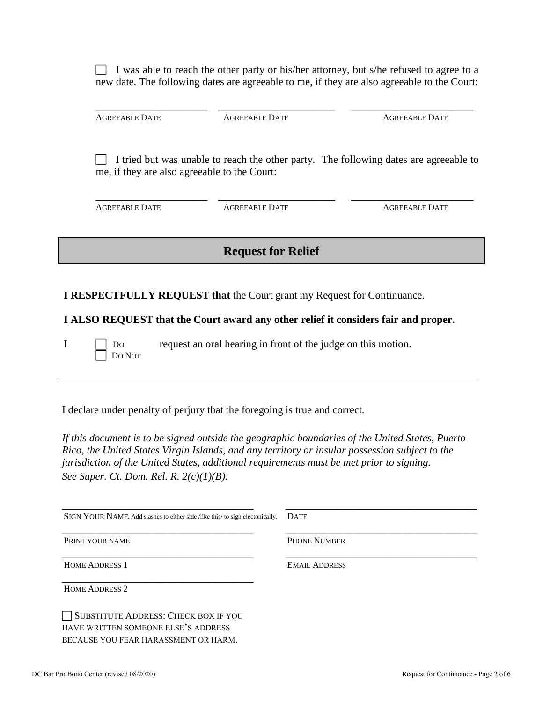$\Box$  I was able to reach the other party or his/her attorney, but s/he refused to agree to a new date. The following dates are agreeable to me, if they are also agreeable to the Court:

\_\_\_\_\_\_\_\_\_\_\_\_\_\_\_\_\_\_\_\_\_ \_\_\_\_\_\_\_\_\_\_\_\_\_\_\_\_\_\_\_\_\_\_ \_\_\_\_\_\_\_\_\_\_\_\_\_\_\_\_\_\_\_\_\_\_\_

AGREEABLE DATE AGREEABLE DATE AGREEABLE DATE

I tried but was unable to reach the other party. The following dates are agreeable to me, if they are also agreeable to the Court:

\_\_\_\_\_\_\_\_\_\_\_\_\_\_\_\_\_\_\_\_\_ \_\_\_\_\_\_\_\_\_\_\_\_\_\_\_\_\_\_\_\_\_\_ \_\_\_\_\_\_\_\_\_\_\_\_\_\_\_\_\_\_\_\_\_\_\_ AGREEABLE DATE AGREEABLE DATE AGREEABLE DATE AGREEABLE DATE

# **Request for Relief**

**I RESPECTFULLY REQUEST that** the Court grant my Request for Continuance.

**I ALSO REQUEST that the Court award any other relief it considers fair and proper.**

DO NOT

 $I \cap$  Do request an oral hearing in front of the judge on this motion.

I declare under penalty of perjury that the foregoing is true and correct*.* 

*If this document is to be signed outside the geographic boundaries of the United States, Puerto Rico, the United States Virgin Islands, and any territory or insular possession subject to the jurisdiction of the United States, additional requirements must be met prior to signing. See Super. Ct. Dom. Rel. R. 2(c)(1)(B).*

| SIGN YOUR NAME. Add slashes to either side /like this/ to sign electonically. | <b>DATE</b>          |
|-------------------------------------------------------------------------------|----------------------|
| PRINT YOUR NAME                                                               | <b>PHONE NUMBER</b>  |
| <b>HOME ADDRESS 1</b>                                                         | <b>EMAIL ADDRESS</b> |
| <b>HOME ADDRESS 2</b>                                                         |                      |
| SUBSTITUTE ADDRESS: CHECK BOX IF YOU                                          |                      |

HAVE WRITTEN SOMEONE ELSE'S ADDRESS BECAUSE YOU FEAR HARASSMENT OR HARM.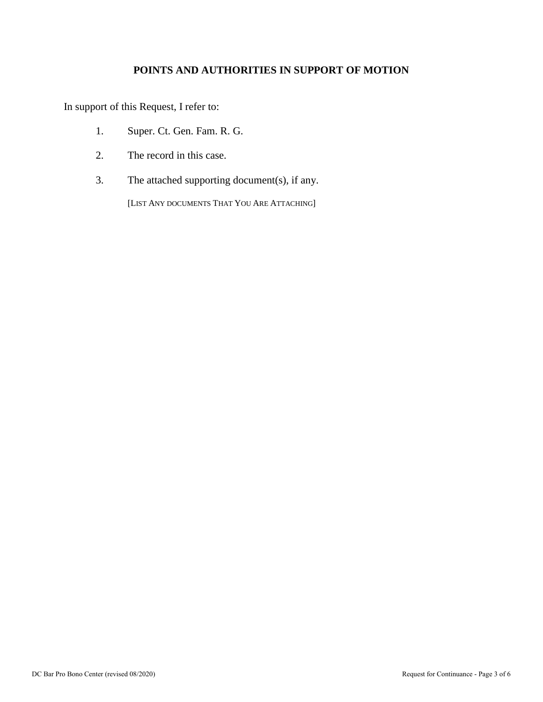# **POINTS AND AUTHORITIES IN SUPPORT OF MOTION**

In support of this Request, I refer to:

- 1. Super. Ct. Gen. Fam. R. G.
- 2. The record in this case.
- 3. The attached supporting document(s), if any.

[LIST ANY DOCUMENTS THAT YOU ARE ATTACHING]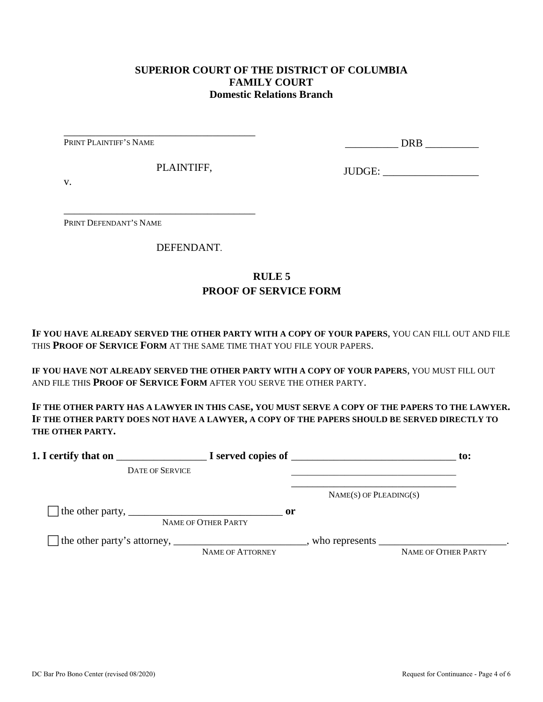### **SUPERIOR COURT OF THE DISTRICT OF COLUMBIA FAMILY COURT Domestic Relations Branch**

PRINT PLAINTIFF'S NAME

\_\_\_\_\_\_\_\_\_\_ DRB \_\_\_\_\_\_\_\_\_\_

PLAINTIFF,

\_\_\_\_\_\_\_\_\_\_\_\_\_\_\_\_\_\_\_\_\_\_\_\_\_\_\_\_\_\_\_\_\_\_\_\_

\_\_\_\_\_\_\_\_\_\_\_\_\_\_\_\_\_\_\_\_\_\_\_\_\_\_\_\_\_\_\_\_\_\_\_\_

JUDGE: \_\_\_\_\_\_\_\_\_\_\_\_\_\_\_\_\_\_

v.

PRINT DEFENDANT'S NAME

DEFENDANT.

### **RULE 5 PROOF OF SERVICE FORM**

**IF YOU HAVE ALREADY SERVED THE OTHER PARTY WITH A COPY OF YOUR PAPERS**, YOU CAN FILL OUT AND FILE THIS **PROOF OF SERVICE FORM** AT THE SAME TIME THAT YOU FILE YOUR PAPERS.

**IF YOU HAVE NOT ALREADY SERVED THE OTHER PARTY WITH A COPY OF YOUR PAPERS**, YOU MUST FILL OUT AND FILE THIS **PROOF OF SERVICE FORM** AFTER YOU SERVE THE OTHER PARTY.

**IF THE OTHER PARTY HAS A LAWYER IN THIS CASE, YOU MUST SERVE A COPY OF THE PAPERS TO THE LAWYER. IF THE OTHER PARTY DOES NOT HAVE A LAWYER, A COPY OF THE PAPERS SHOULD BE SERVED DIRECTLY TO THE OTHER PARTY.** 

|                                                                               |                                      |                             | to:                                                                                                               |
|-------------------------------------------------------------------------------|--------------------------------------|-----------------------------|-------------------------------------------------------------------------------------------------------------------|
| <b>DATE OF SERVICE</b>                                                        |                                      |                             |                                                                                                                   |
|                                                                               |                                      | $NAME(S)$ OF PLEADING $(S)$ |                                                                                                                   |
| The other party, $\frac{1}{\sqrt{1-\frac{1}{2}}}\left\{1-\frac{1}{2}\right\}$ | $\mathbf{or}$<br>NAME OF OTHER PARTY |                             |                                                                                                                   |
|                                                                               | <b>NAME OF ATTORNEY</b>              |                             | who represents $\frac{1}{\sqrt{1-\frac{1}{2}}}\left[\frac{1}{\sqrt{1-\frac{1}{2}}}\right]$<br>NAME OF OTHER PARTY |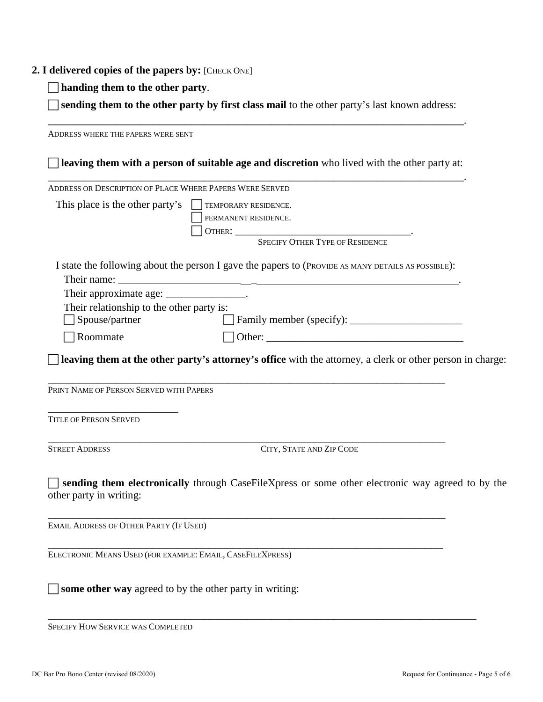#### **2. I delivered copies of the papers by:** [CHECK ONE]

**handing them to the other party**.

 **sending them to the other party by first class mail** to the other party's last known address: \_\_\_\_\_\_\_\_\_\_\_\_\_\_\_\_\_\_\_\_\_\_\_\_\_\_\_\_\_\_\_\_\_\_\_\_\_\_\_\_\_\_\_\_\_\_\_\_\_\_\_\_\_\_\_\_\_\_\_\_\_\_\_\_\_\_\_.

ADDRESS WHERE THE PAPERS WERE SENT **leaving them with a person of suitable age and discretion** who lived with the other party at: \_\_\_\_\_\_\_\_\_\_\_\_\_\_\_\_\_\_\_\_\_\_\_\_\_\_\_\_\_\_\_\_\_\_\_\_\_\_\_\_\_\_\_\_\_\_\_\_\_\_\_\_\_\_\_\_\_\_\_\_\_\_\_\_\_\_\_. ADDRESS OR DESCRIPTION OF PLACE WHERE PAPERS WERE SERVED This place is the other party's  $\Box$  TEMPORARY RESIDENCE. PERMANENT RESIDENCE. OTHER: \_\_\_\_\_\_\_\_\_\_\_\_\_\_\_\_\_\_\_\_\_\_\_\_\_\_\_\_\_\_\_\_\_. SPECIFY OTHER TYPE OF RESIDENCE I state the following about the person I gave the papers to (PROVIDE AS MANY DETAILS AS POSSIBLE): Their name: Their approximate age: \_\_\_\_\_\_\_\_\_\_\_\_\_\_\_\_. Their relationship to the other party is: Spouse/partner Family member (specify): \_\_\_\_\_\_\_\_\_\_\_\_\_\_\_\_\_\_\_\_\_  $\Box$  Roommate  $\Box$  Other: **leaving them at the other party's attorney's office** with the attorney, a clerk or other person in charge: \_\_\_\_\_\_\_\_\_\_\_\_\_\_\_\_\_\_\_\_\_\_\_\_\_\_\_\_\_\_\_\_\_\_\_\_\_\_\_\_\_\_\_\_\_\_\_\_\_\_\_\_\_\_\_\_\_\_\_\_\_\_\_\_ PRINT NAME OF PERSON SERVED WITH PAPERS \_\_\_\_\_\_\_\_\_\_\_\_\_\_\_\_\_\_\_\_\_ TITLE OF PERSON SERVED \_\_\_\_\_\_\_\_\_\_\_\_\_\_\_\_\_\_\_\_\_\_\_\_\_\_\_\_\_\_\_\_\_\_\_\_\_\_\_\_\_\_\_\_\_\_\_\_\_\_\_\_\_\_\_\_\_\_\_\_\_\_\_\_ STREET ADDRESS CITY, STATE AND ZIP CODE **sending them electronically** through CaseFileXpress or some other electronic way agreed to by the other party in writing: \_\_\_\_\_\_\_\_\_\_\_\_\_\_\_\_\_\_\_\_\_\_\_\_\_\_\_\_\_\_\_\_\_\_\_\_\_\_\_\_\_\_\_\_\_\_\_\_\_\_\_\_\_\_\_\_\_\_\_\_\_\_\_\_ EMAIL ADDRESS OF OTHER PARTY (IF USED) \_\_\_\_\_\_\_\_\_\_\_\_\_\_\_\_\_\_\_\_\_\_\_\_\_\_\_\_\_\_\_\_\_\_\_\_\_\_\_\_\_\_\_\_\_\_\_\_\_\_\_\_\_\_\_\_\_\_\_\_\_\_\_\_ ELECTRONIC MEANS USED (FOR EXAMPLE: EMAIL, CASEFILEXPRESS)

\_\_\_\_\_\_\_\_\_\_\_\_\_\_\_\_\_\_\_\_\_\_\_\_\_\_\_\_\_\_\_\_\_\_\_\_\_\_\_\_\_\_\_\_\_\_\_\_\_\_\_\_\_\_\_\_\_\_\_\_\_\_\_\_\_\_\_\_\_

SPECIFY HOW SERVICE WAS COMPLETED

**some other way** agreed to by the other party in writing: